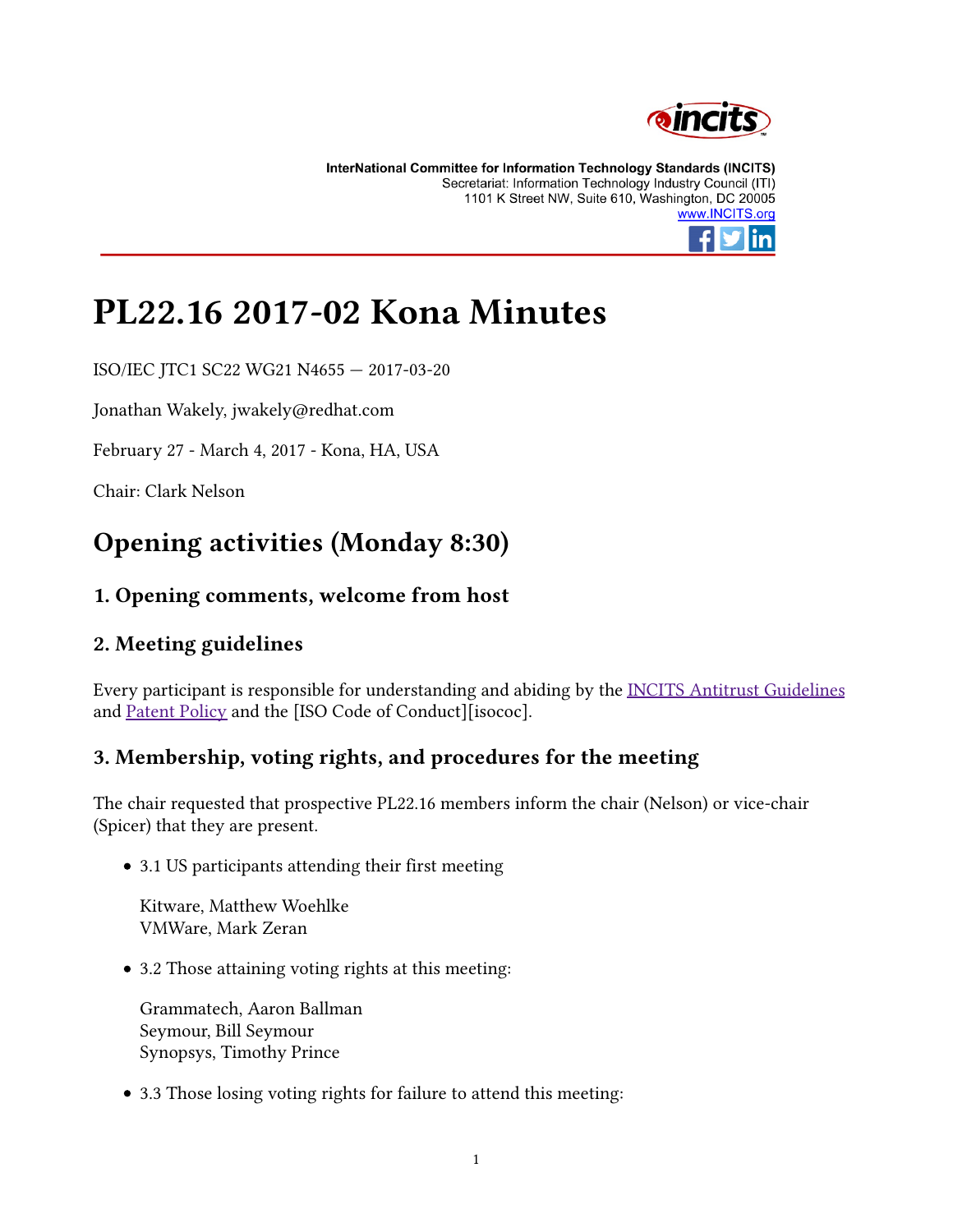

InterNational Committee for Information Technology Standards (INCITS) Secretariat: Information Technology Industry Council (ITI) 1101 K Street NW, Suite 610, Washington, DC 20005 www.INCITS.org



# PL22.16 2017-02 Kona Minutes

ISO/IEC JTC1 SC22 WG21 N4655 — 2017-03-20

Jonathan Wakely, jwakely@redhat.com

February 27 - March 4, 2017 - Kona, HA, USA

Chair: Clark Nelson

### Opening activities (Monday 8:30)

#### 1. Opening comments, welcome from host

#### 2. Meeting guidelines

Every participant is responsible for understanding and abiding by the INCITS Antitrust Guidelines and Patent Policy and the [ISO Code of Conduct][isococ].

#### 3. Membership, voting rights, and procedures for the meeting

The chair requested that prospective PL22.16 members inform the chair (Nelson) or vice-chair (Spicer) that they are present.

3.1 US participants attending their first meeting

Kitware, Matthew Woehlke VMWare, Mark Zeran

3.2 Those attaining voting rights at this meeting:

Grammatech, Aaron Ballman Seymour, Bill Seymour Synopsys, Timothy Prince

• 3.3 Those losing voting rights for failure to attend this meeting: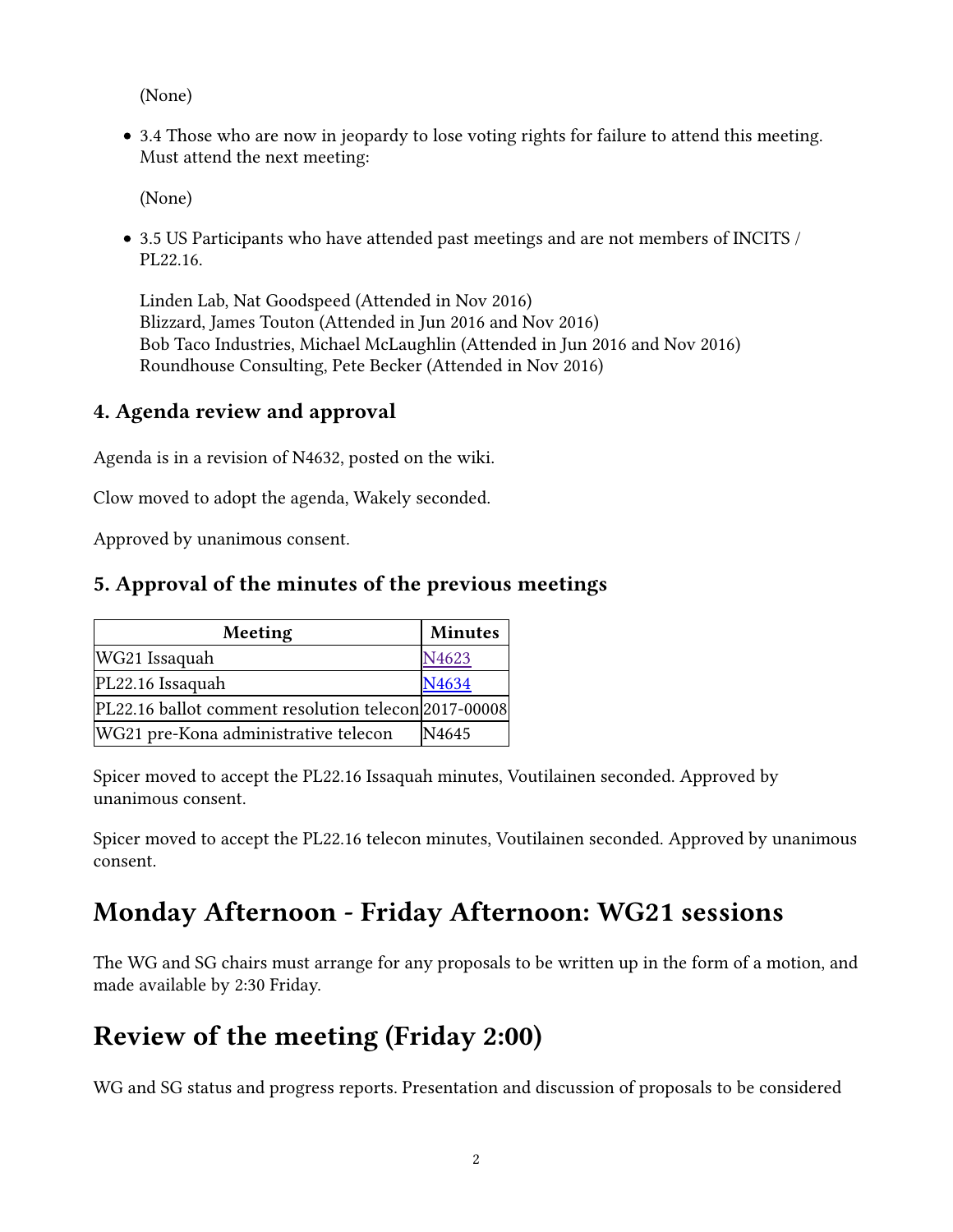(None)

3.4 Those who are now in jeopardy to lose voting rights for failure to attend this meeting. Must attend the next meeting:

(None)

3.5 US Participants who have attended past meetings and are not members of INCITS / PL22.16.

Linden Lab, Nat Goodspeed (Attended in Nov 2016) Blizzard, James Touton (Attended in Jun 2016 and Nov 2016) Bob Taco Industries, Michael McLaughlin (Attended in Jun 2016 and Nov 2016) Roundhouse Consulting, Pete Becker (Attended in Nov 2016)

#### 4. Agenda review and approval

Agenda is in a revision of N4632, posted on the wiki.

Clow moved to adopt the agenda, Wakely seconded.

Approved by unanimous consent.

#### 5. Approval of the minutes of the previous meetings

| Meeting                                              | <b>Minutes</b> |  |  |
|------------------------------------------------------|----------------|--|--|
| WG21 Issaquah                                        | N4623          |  |  |
| PL22.16 Issaquah                                     | N4634          |  |  |
| PL22.16 ballot comment resolution telecon 2017-00008 |                |  |  |
| WG21 pre-Kona administrative telecon                 | N4645          |  |  |

Spicer moved to accept the PL22.16 Issaquah minutes, Voutilainen seconded. Approved by unanimous consent.

Spicer moved to accept the PL22.16 telecon minutes, Voutilainen seconded. Approved by unanimous consent.

### Monday Afternoon - Friday Afternoon: WG21 sessions

The WG and SG chairs must arrange for any proposals to be written up in the form of a motion, and made available by 2:30 Friday.

### Review of the meeting (Friday 2:00)

WG and SG status and progress reports. Presentation and discussion of proposals to be considered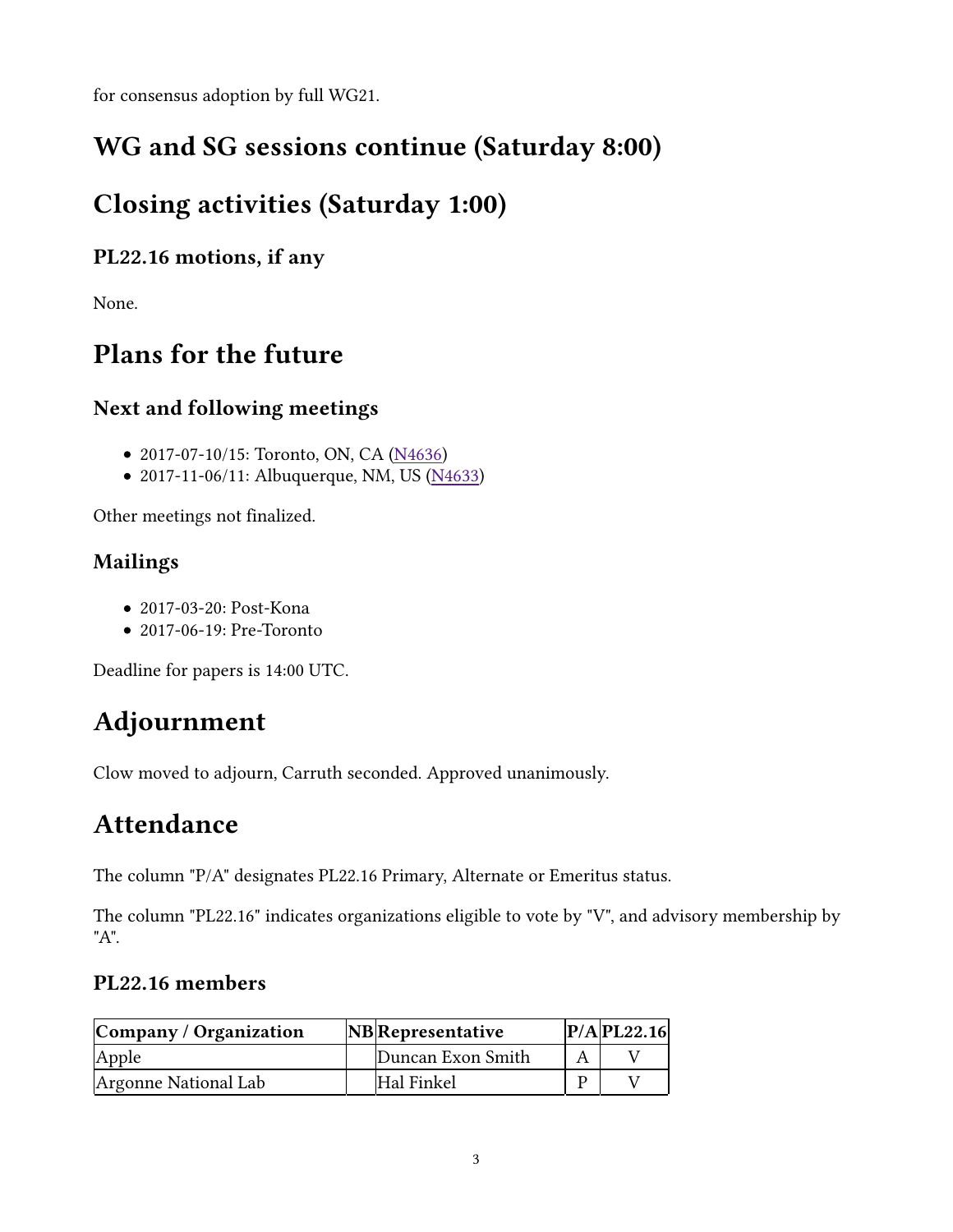for consensus adoption by full WG21.

### WG and SG sessions continue (Saturday 8:00)

### Closing activities (Saturday 1:00)

#### PL22.16 motions, if any

None.

### Plans for the future

#### Next and following meetings

- 2017-07-10/15: Toronto, ON, CA (N4636)
- 2017-11-06/11: Albuquerque, NM, US (N4633)

Other meetings not finalized.

### Mailings

- 2017-03-20: Post-Kona
- 2017-06-19: Pre-Toronto

Deadline for papers is 14:00 UTC.

## Adjournment

Clow moved to adjourn, Carruth seconded. Approved unanimously.

### Attendance

The column "P/A" designates PL22.16 Primary, Alternate or Emeritus status.

The column "PL22.16" indicates organizations eligible to vote by "V", and advisory membership by "A".

#### PL22.16 members

| Company / Organization | <b>NB</b> Representative | $P/A$ PL22.16 |
|------------------------|--------------------------|---------------|
| Apple                  | Duncan Exon Smith        |               |
| Argonne National Lab   | Hal Finkel               |               |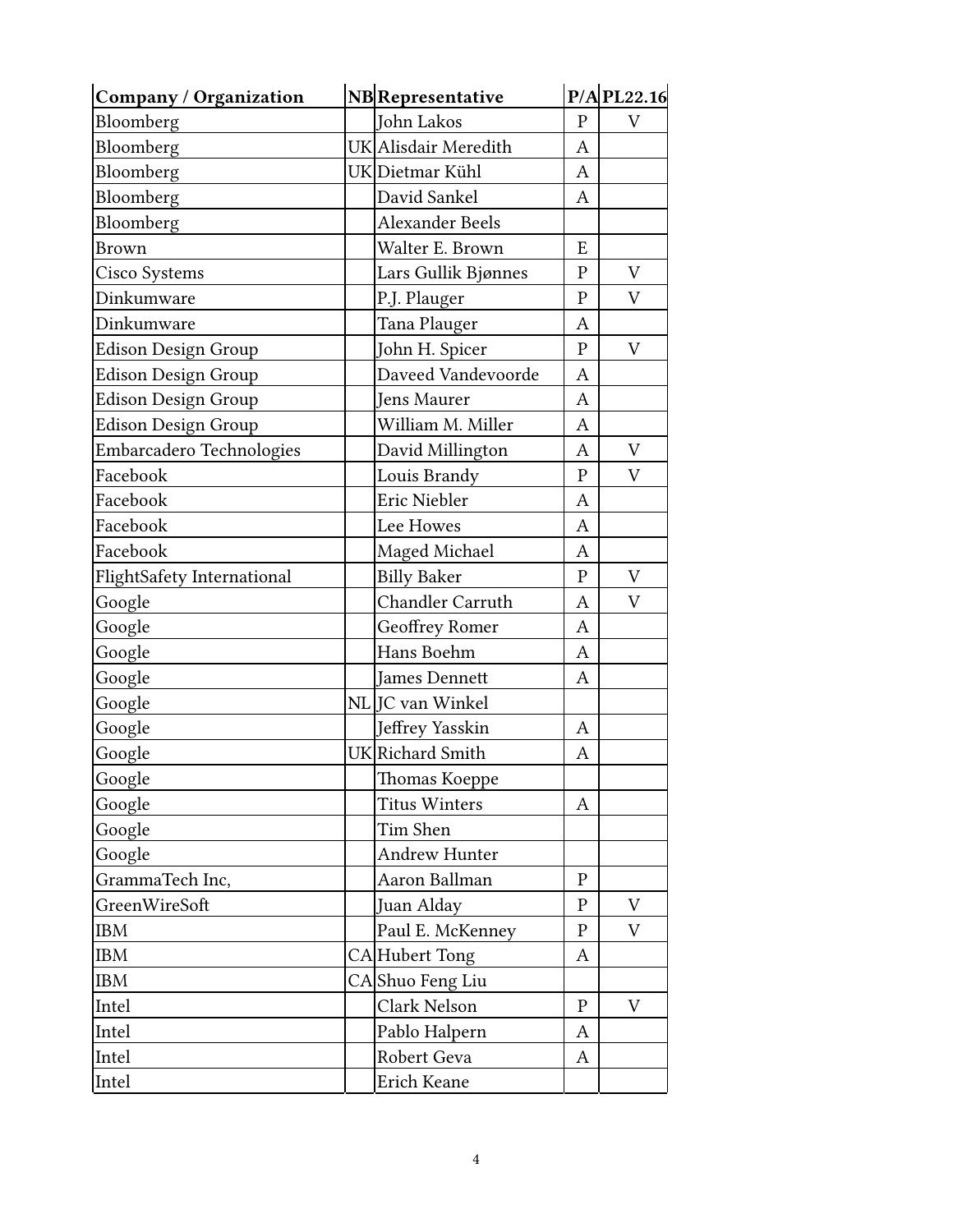| Company / Organization     | <b>NB</b> Representative |                               |              | $P/A$ PL22.16 |
|----------------------------|--------------------------|-------------------------------|--------------|---------------|
| Bloomberg                  |                          | John Lakos                    |              | V             |
| Bloomberg                  |                          | UK Alisdair Meredith          | A            |               |
| Bloomberg                  |                          | UK Dietmar Kühl               | A            |               |
| Bloomberg                  |                          | David Sankel                  | Α            |               |
| Bloomberg                  |                          | <b>Alexander Beels</b>        |              |               |
| <b>Brown</b>               |                          | Walter E. Brown               | E            |               |
| Cisco Systems              |                          | Lars Gullik Bjønnes           | ${\bf P}$    | V             |
| Dinkumware                 |                          | P.J. Plauger                  | $\mathbf{P}$ | V             |
| Dinkumware                 |                          | Tana Plauger                  | A            |               |
| Edison Design Group        |                          | John H. Spicer                | ${\bf P}$    | V             |
| <b>Edison Design Group</b> |                          | Daveed Vandevoorde            | A            |               |
| <b>Edison Design Group</b> |                          | Jens Maurer                   | A            |               |
| <b>Edison Design Group</b> |                          | William M. Miller             | A            |               |
| Embarcadero Technologies   |                          | David Millington              | A            | V             |
| Facebook                   |                          | Louis Brandy                  | ${\bf P}$    | V             |
| Facebook                   |                          | Eric Niebler                  | A            |               |
| Facebook                   |                          | Lee Howes                     | A            |               |
| Facebook                   |                          | Maged Michael                 | A            |               |
| FlightSafety International |                          | <b>Billy Baker</b>            | $\mathbf{P}$ | V             |
| Google                     |                          | Chandler Carruth              | A            | V             |
| Google                     |                          | Geoffrey Romer                | A            |               |
| Google                     |                          | Hans Boehm                    | A            |               |
| Google                     |                          | <b>James Dennett</b>          | A            |               |
| Google                     |                          | NL JC van Winkel              |              |               |
| Google                     |                          | Jeffrey Yasskin               | A            |               |
| Google                     |                          | UK Richard Smith              | A            |               |
| Google                     |                          | Thomas Koeppe                 |              |               |
| Google                     |                          | <b>Titus Winters</b>          | Α            |               |
| Google                     |                          | Tim Shen                      |              |               |
| Google                     |                          | <b>Andrew Hunter</b>          |              |               |
| GrammaTech Inc,            |                          | Aaron Ballman                 | $\mathbf{P}$ |               |
| GreenWireSoft              |                          | Juan Alday                    |              | V             |
| <b>IBM</b>                 |                          | Paul E. McKenney<br>${\bf P}$ |              | V             |
| <b>IBM</b>                 |                          | CAHubert Tong<br>A            |              |               |
| <b>IBM</b>                 |                          | CAShuo Feng Liu               |              |               |
| Intel                      |                          | Clark Nelson<br>${\bf P}$     |              | V             |
| Intel                      |                          | Pablo Halpern                 | A            |               |
| Intel                      |                          | Robert Geva<br>A              |              |               |
| Intel                      |                          | Erich Keane                   |              |               |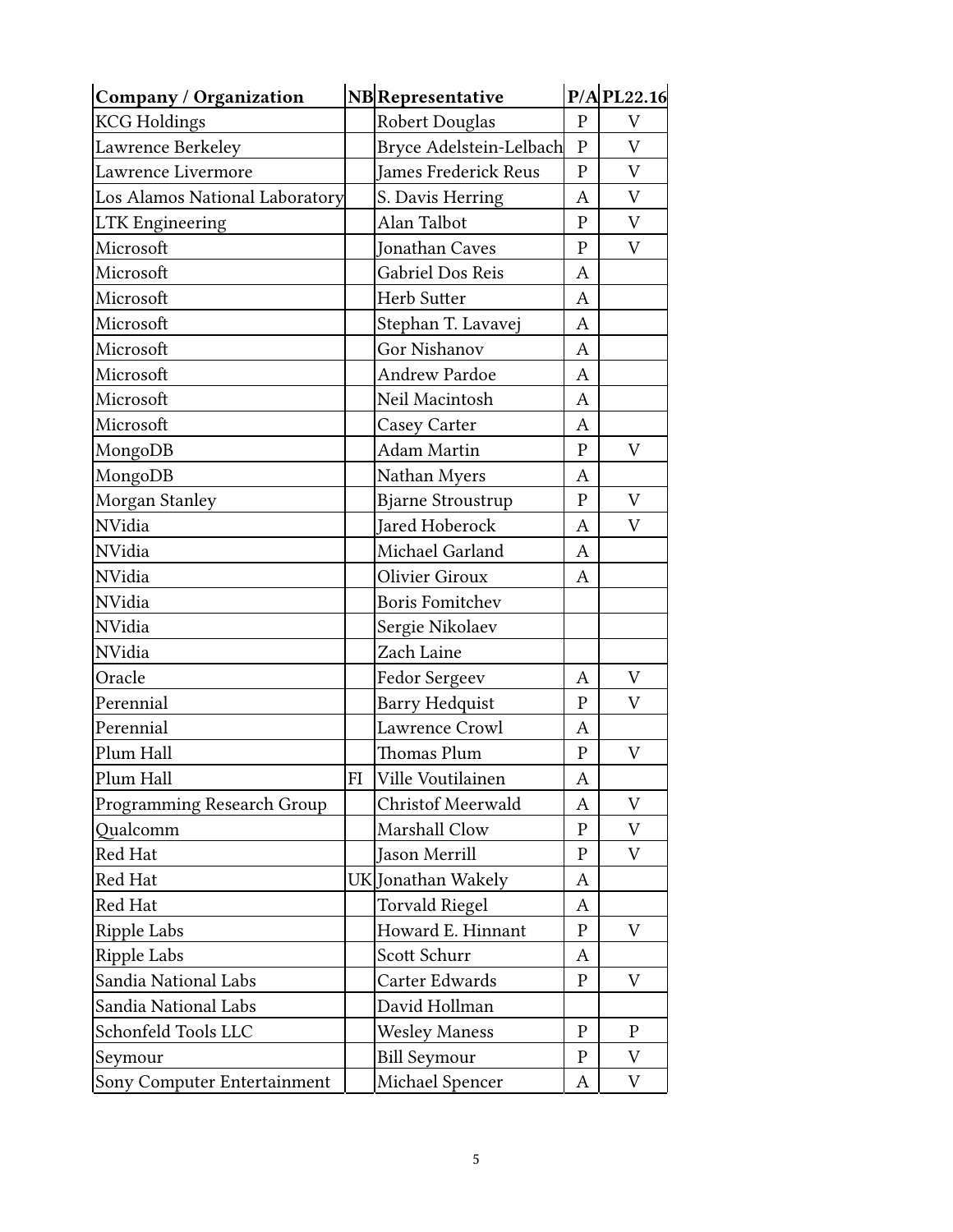| <b>Company / Organization</b>  | <b>NB</b> Representative |                                   |                   | $P/A$ PL22.16 |
|--------------------------------|--------------------------|-----------------------------------|-------------------|---------------|
| <b>KCG Holdings</b>            |                          | <b>Robert Douglas</b>             |                   | V             |
| Lawrence Berkeley              |                          | Bryce Adelstein-Lelbach           |                   | $\mathbf V$   |
| Lawrence Livermore             |                          | <b>James Frederick Reus</b>       |                   | V             |
| Los Alamos National Laboratory |                          | S. Davis Herring                  |                   | V             |
| <b>LTK Engineering</b>         |                          | Alan Talbot                       | $\mathbf{P}$      | V             |
| Microsoft                      |                          | <b>Jonathan Caves</b>             | $\mathbf{P}$      | V             |
| Microsoft                      |                          | Gabriel Dos Reis                  | A                 |               |
| Microsoft                      |                          | Herb Sutter                       | A                 |               |
| Microsoft                      |                          | Stephan T. Lavavej                | A                 |               |
| Microsoft                      |                          | Gor Nishanov                      | A                 |               |
| Microsoft                      |                          | Andrew Pardoe                     | A                 |               |
| Microsoft                      |                          | Neil Macintosh                    | A                 |               |
| Microsoft                      |                          | Casey Carter                      | A                 |               |
| MongoDB                        |                          | <b>Adam Martin</b>                | $\mathbf{P}$      | V             |
| MongoDB                        |                          | Nathan Myers                      | A                 |               |
| Morgan Stanley                 |                          | <b>Bjarne Stroustrup</b>          | $\mathbf{P}$      | V             |
| <b>NVidia</b>                  |                          | Jared Hoberock                    | A                 | V             |
| NVidia                         |                          | Michael Garland                   | A                 |               |
| NVidia                         |                          | <b>Olivier Giroux</b>             | A                 |               |
| NVidia                         |                          | <b>Boris Fomitchev</b>            |                   |               |
| NVidia                         |                          | Sergie Nikolaev                   |                   |               |
| NVidia                         |                          | Zach Laine                        |                   |               |
| Oracle                         |                          | Fedor Sergeev                     | A                 | V             |
| Perennial                      |                          | <b>Barry Hedquist</b>             | $\mathbf{P}$      | V             |
| Perennial                      |                          | Lawrence Crowl                    | A                 |               |
| Plum Hall                      |                          | <b>Thomas Plum</b>                | ${\bf P}$         | V             |
| Plum Hall                      | FI                       | Ville Voutilainen                 | A                 |               |
| Programming Research Group     |                          | <b>Christof Meerwald</b>          | Α                 | V             |
| Qualcomm                       |                          | Marshall Clow                     | $\mathbf P$       | V             |
| Red Hat                        |                          | Jason Merrill                     | $\mathbf P$       | V             |
| Red Hat                        |                          | UK Jonathan Wakely                | Α                 |               |
| Red Hat                        |                          | <b>Torvald Riegel</b>             | A                 |               |
| Ripple Labs                    |                          | Howard E. Hinnant<br>$\mathbf{P}$ |                   | V             |
| Ripple Labs                    |                          | Scott Schurr<br>A                 |                   |               |
| Sandia National Labs           |                          | Carter Edwards                    | $\mathbf{P}$<br>V |               |
| Sandia National Labs           |                          | David Hollman                     |                   |               |
| Schonfeld Tools LLC            |                          | <b>Wesley Maness</b>              | $\mathbf P$       | $\mathbf{P}$  |
| Seymour                        |                          | <b>Bill Seymour</b>               | $\mathbf{P}$      | V             |
| Sony Computer Entertainment    |                          | Michael Spencer                   | A                 | V             |